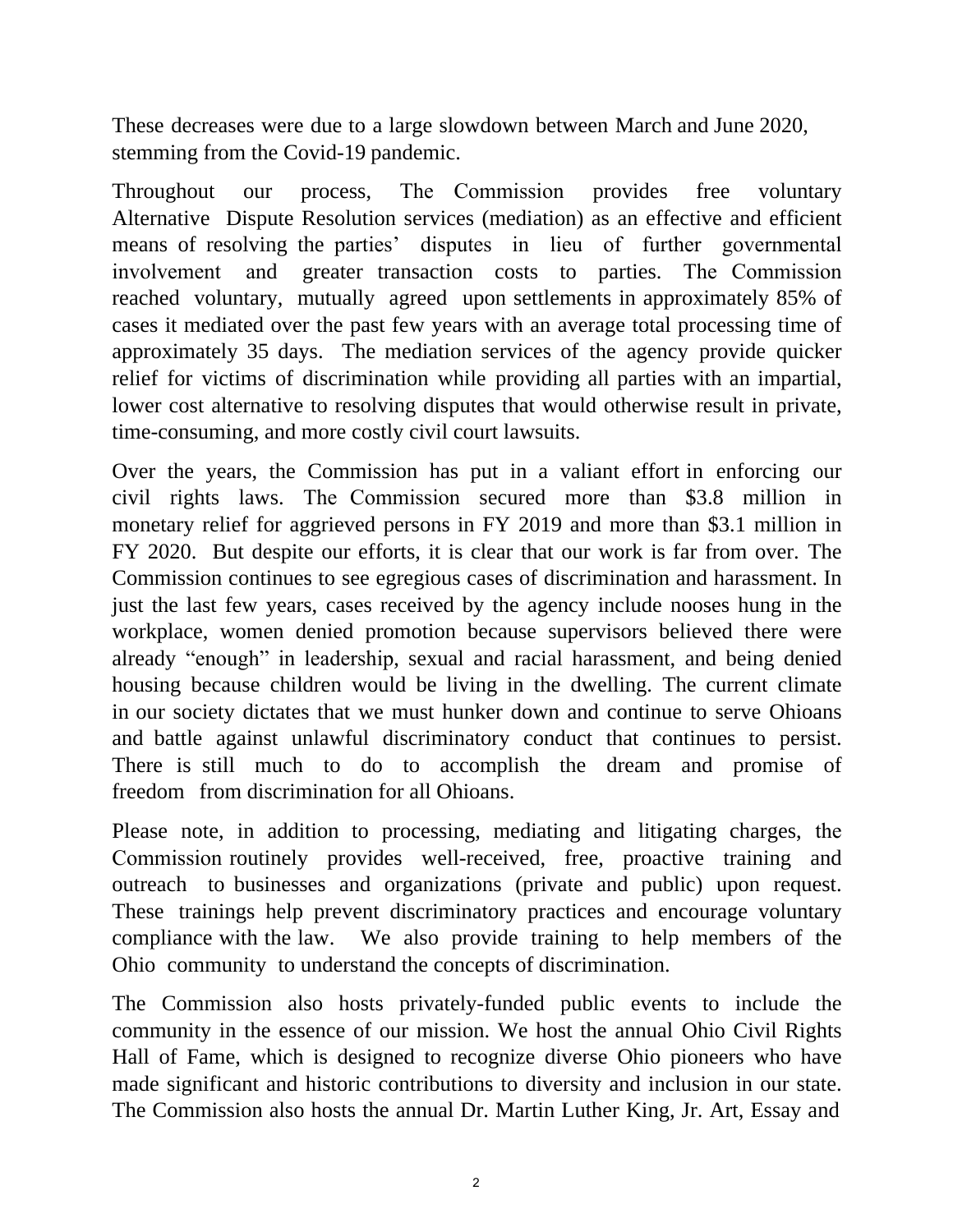These decreases were due to a large slowdown between March and June 2020, stemming from the Covid-19 pandemic.

Throughout our process,  $WKH$  & R P P browhere  $\Re$  P of provides R Gree voluntary Alternative Dispute Resolution services (mediation) as an effective and efficient means of resolving the parties' disputes in lieu of further governmental involvement and greater transaction costs to parties. 7KH &RPPLVVLR reached voluntary, mutually agreed upon settlements in approximately 85% of cases it mediated over the past few years with an average total processing time of approximately 35 days. The mediation services of the agency provide quicker relief for victims of discrimination while providing all parties with an impartial, lower cost alternative to resolving disputes that would otherwise result in private, time-consuming, and more costly civil court lawsuits.

Over the years, the Commission has put in a valiant effort in enforcing our civil rights laws.  $7KH$  & R P P Lset that  $$3.8$  million in monetary relief for aggrieved persons in FY 2019 and more than \$3.1 million in FY 2020. But despite our efforts, it is clear that our work is far from over. The Commission continues to see egregious cases of discrimination and harassment. In just the last few years, cases received by the agency include nooses hung in the workplace, women denied promotion because supervisors believed there were already "enough" in leadership, sexual and racial harassment, and being denied housing because children would be living in the dwelling. The current climate in our society dictates that we must hunker down and continue to serve Ohioans and battle against unlawful discriminatory conduct that continues to persist. There is still much to do to accomplish the dream and promise of freedom from discrimination for all Ohioans.

Please note, in addition to processing, mediating and litigating charges, WKH  $\&$  R P P L Vrolation  $\&$  provides well-received, free, proactive training and outreach to businesses and organizations (private and public) upon request. These trainings help prevent discriminatory practices and encourage voluntary compliance with the law. We also provide training to help members of the Ohio community to understand the concepts of discrimination.

The Commission also hosts privately-funded public events to include the community in the essence of our mission. We host the annual Ohio Civil Rights Hall of Fame, which is designed to recognize diverse Ohio pioneers who have made significant and historic contributions to diversity and inclusion in our state. The Commission also hosts the annual Dr. Martin Luther King, Jr. Art, Essay and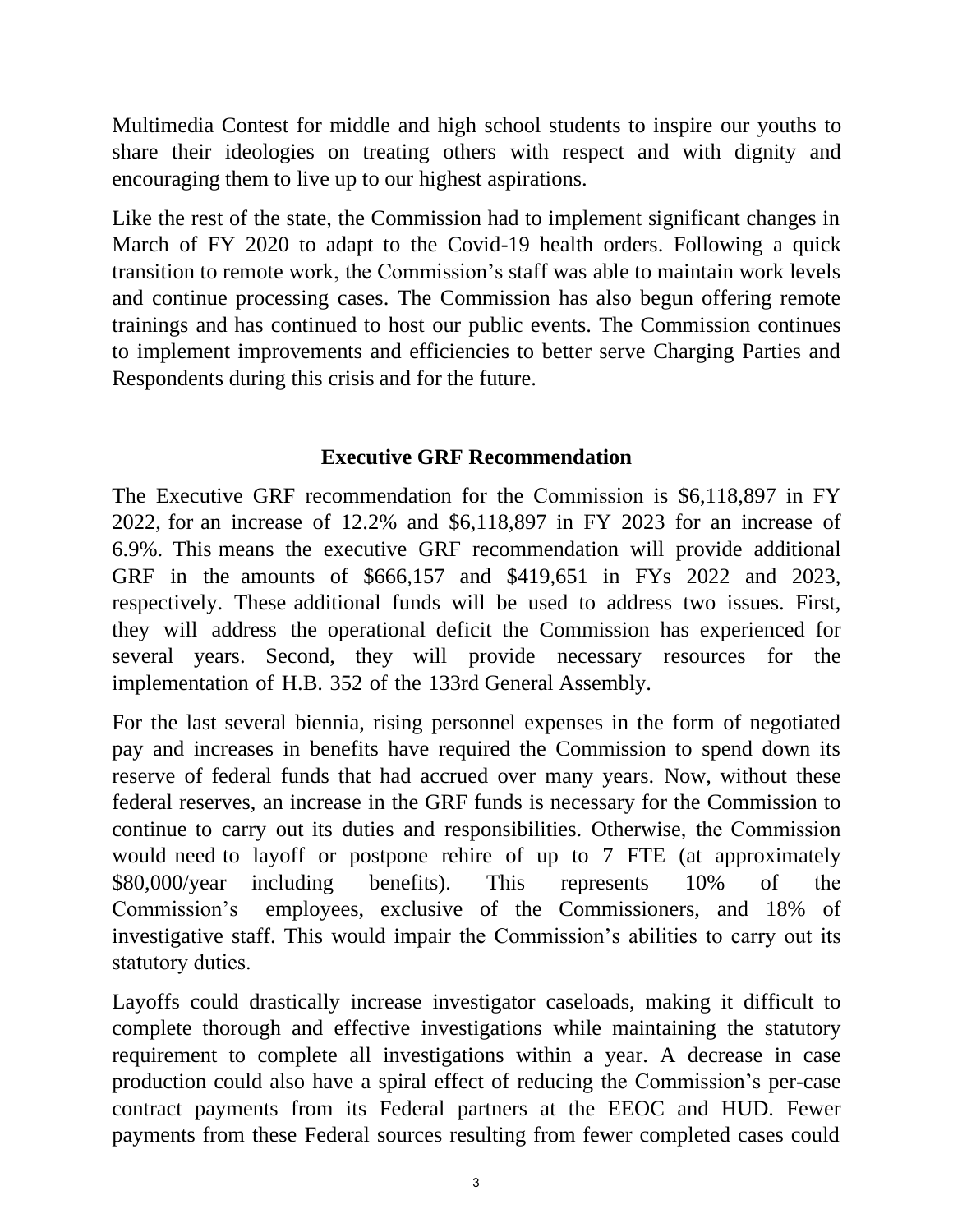Multimedia Contest for middle and high school students to inspire our youths to share their ideologies on treating others with respect and with dignity and encouraging them to live up to our highest aspirations.

Like the rest of the state, the Commission had to implement significant changes in March of FY 2020 to adapt to the Covid-19 health orders. Following a quick transition to remote work, the Commission's staff was able to maintain work levels and continue processing cases. The Commission has also begun offering remote trainings and has continued to host our public events. The Commission continues to implement improvements and efficiencies to better serve Charging Parties and Respondents during this crisis and for the future.

## **Executive GRF Recommendation**

The Executive GRF recommendation for the Commission is \$6,118,897 in FY 2022, for an increase of 12.2% and \$6,118,897 in FY 2023 for an increase of 6.9%. This means the executive GRF recommendation will provide additional GRF in the amounts of \$666,157 and \$419,651 in FYs 2022 and 2023, respectively. These additional funds will be used to address two issues. First, they will address the operational deficit the Commission has experienced for several years. Second, they will provide necessary resources for the implementation of H.B. 352 of the 133rd General Assembly.

For the last several biennia, rising personnel expenses in the form of negotiated pay and increases in benefits have required the Commission to spend down its reserve of federal funds that had accrued over many years. Now, without these federal reserves, an increase in the GRF funds is necessary for the Commission to continue to carry out its duties and responsibilities. Otherwise, the Commission would need to layoff or postpone rehire of up to 7 FTE (at approximately \$80,000/year including benefits). This represents 10% of the Commission's employees, exclusive of the Commissioners, and 18% of investigative staff. This would impair the Commission's abilities to carry out its statutory duties.

Layoffs could drastically increase investigator caseloads, making it difficult to complete thorough and effective investigations while maintaining the statutory requirement to complete all investigations within a year. A decrease in case production could also have a spiral effect of reducing the Commission's per-case contract payments from its Federal partners at the EEOC and HUD. Fewer payments from these Federal sources resulting from fewer completed cases could